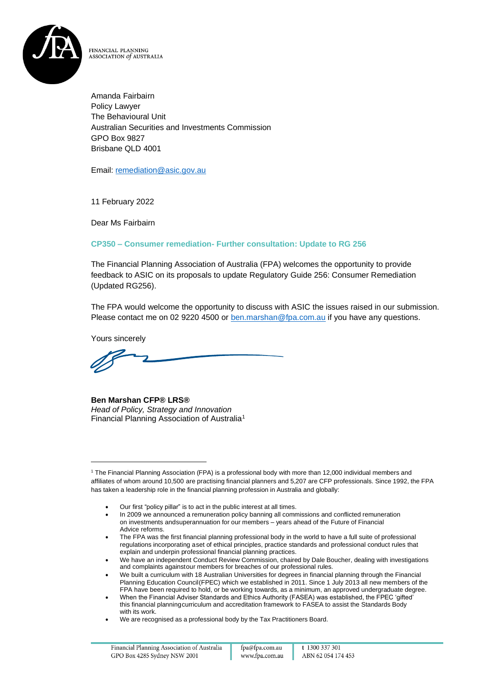

FINANCIAL PLANNING ASSOCIATION of AUSTRALIA

Amanda Fairbairn Policy Lawyer The Behavioural Unit Australian Securities and Investments Commission GPO Box 9827 Brisbane QLD 4001

Email: [remediation@asic.gov.au](mailto:remediation@asic.gov.au)

11 February 2022

Dear Ms Fairbairn

### **CP350 – Consumer remediation- Further consultation: Update to RG 256**

The Financial Planning Association of Australia (FPA) welcomes the opportunity to provide feedback to ASIC on its proposals to update Regulatory Guide 256: Consumer Remediation (Updated RG256).

The FPA would welcome the opportunity to discuss with ASIC the issues raised in our submission. Please contact me on 02 9220 4500 or [ben.marshan@fpa.com.au](mailto:ben.marshan@fpa.com.au) if you have any questions.

Yours sincerely

**Ben Marshan CFP® LRS®** *Head of Policy, Strategy and Innovation* Financial Planning Association of Australia<sup>1</sup>

<sup>1</sup> The Financial Planning Association (FPA) is a professional body with more than 12,000 individual members and affiliates of whom around 10,500 are practising financial planners and 5,207 are CFP professionals. Since 1992, the FPA has taken a leadership role in the financial planning profession in Australia and globally:

<sup>•</sup> Our first "policy pillar" is to act in the public interest at all times.

<sup>•</sup> In 2009 we announced a remuneration policy banning all commissions and conflicted remuneration on investments andsuperannuation for our members – years ahead of the Future of Financial Advice reforms.

<sup>•</sup> The FPA was the first financial planning professional body in the world to have a full suite of professional regulations incorporating aset of ethical principles, practice standards and professional conduct rules that explain and underpin professional financial planning practices.

<sup>•</sup> We have an independent Conduct Review Commission, chaired by Dale Boucher, dealing with investigations and complaints againstour members for breaches of our professional rules.

<sup>•</sup> We built a curriculum with 18 Australian Universities for degrees in financial planning through the Financial Planning Education Council(FPEC) which we established in 2011. Since 1 July 2013 all new members of the FPA have been required to hold, or be working towards, as a minimum, an approved undergraduate degree.

<sup>•</sup> When the Financial Adviser Standards and Ethics Authority (FASEA) was established, the FPEC 'gifted' this financial planningcurriculum and accreditation framework to FASEA to assist the Standards Body with its work.

<sup>•</sup> We are recognised as a professional body by the Tax Practitioners Board.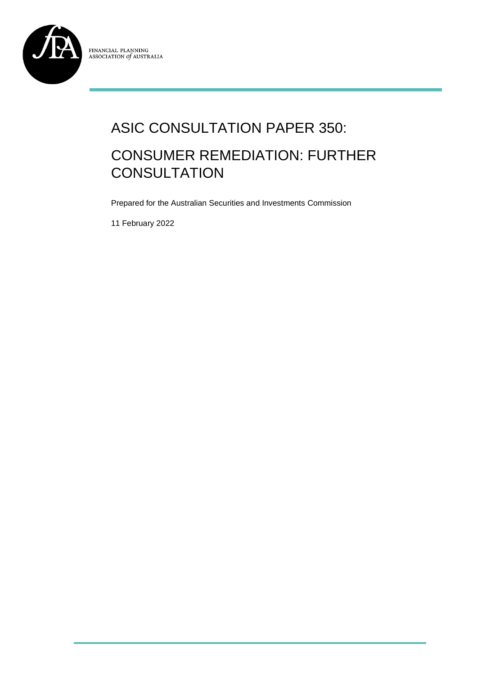

# ASIC CONSULTATION PAPER 350: CONSUMER REMEDIATION: FURTHER **CONSULTATION**

Prepared for the Australian Securities and Investments Commission

11 February 2022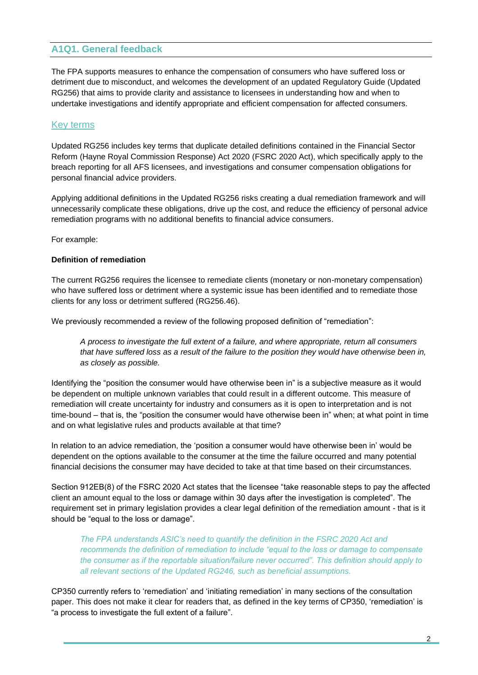# **A1Q1. General feedback**

The FPA supports measures to enhance the compensation of consumers who have suffered loss or detriment due to misconduct, and welcomes the development of an updated Regulatory Guide (Updated RG256) that aims to provide clarity and assistance to licensees in understanding how and when to undertake investigations and identify appropriate and efficient compensation for affected consumers.

## Key terms

Updated RG256 includes key terms that duplicate detailed definitions contained in the Financial Sector Reform (Hayne Royal Commission Response) Act 2020 (FSRC 2020 Act), which specifically apply to the breach reporting for all AFS licensees, and investigations and consumer compensation obligations for personal financial advice providers.

Applying additional definitions in the Updated RG256 risks creating a dual remediation framework and will unnecessarily complicate these obligations, drive up the cost, and reduce the efficiency of personal advice remediation programs with no additional benefits to financial advice consumers.

For example:

#### **Definition of remediation**

The current RG256 requires the licensee to remediate clients (monetary or non-monetary compensation) who have suffered loss or detriment where a systemic issue has been identified and to remediate those clients for any loss or detriment suffered (RG256.46).

We previously recommended a review of the following proposed definition of "remediation":

*A process to investigate the full extent of a failure, and where appropriate, return all consumers that have suffered loss as a result of the failure to the position they would have otherwise been in, as closely as possible.*

Identifying the "position the consumer would have otherwise been in" is a subjective measure as it would be dependent on multiple unknown variables that could result in a different outcome. This measure of remediation will create uncertainty for industry and consumers as it is open to interpretation and is not time-bound – that is, the "position the consumer would have otherwise been in" when; at what point in time and on what legislative rules and products available at that time?

In relation to an advice remediation, the 'position a consumer would have otherwise been in' would be dependent on the options available to the consumer at the time the failure occurred and many potential financial decisions the consumer may have decided to take at that time based on their circumstances.

Section 912EB(8) of the FSRC 2020 Act states that the licensee "take reasonable steps to pay the affected client an amount equal to the loss or damage within 30 days after the investigation is completed". The requirement set in primary legislation provides a clear legal definition of the remediation amount - that is it should be "equal to the loss or damage".

*The FPA understands ASIC's need to quantify the definition in the FSRC 2020 Act and recommends the definition of remediation to include "equal to the loss or damage to compensate the consumer as if the reportable situation/failure never occurred". This definition should apply to all relevant sections of the Updated RG246, such as beneficial assumptions.* 

CP350 currently refers to 'remediation' and 'initiating remediation' in many sections of the consultation paper. This does not make it clear for readers that, as defined in the key terms of CP350, 'remediation' is "a process to investigate the full extent of a failure".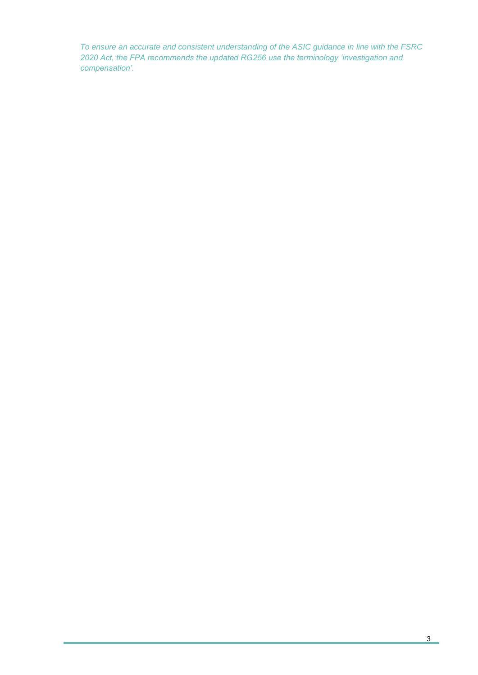*To ensure an accurate and consistent understanding of the ASIC guidance in line with the FSRC*  2020 Act, the FPA recommends the updated RG256 use the terminology 'investigation and *compensation'.*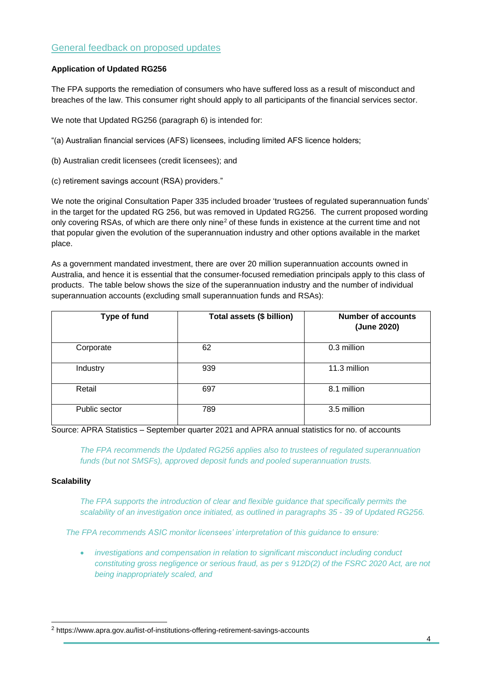# General feedback on proposed updates

#### **Application of Updated RG256**

The FPA supports the remediation of consumers who have suffered loss as a result of misconduct and breaches of the law. This consumer right should apply to all participants of the financial services sector.

We note that Updated RG256 (paragraph 6) is intended for:

"(a) Australian financial services (AFS) licensees, including limited AFS licence holders;

(b) Australian credit licensees (credit licensees); and

(c) retirement savings account (RSA) providers."

We note the original Consultation Paper 335 included broader 'trustees of regulated superannuation funds' in the target for the updated RG 256, but was removed in Updated RG256. The current proposed wording only covering RSAs, of which are there only nine<sup>2</sup> of these funds in existence at the current time and not that popular given the evolution of the superannuation industry and other options available in the market place.

As a government mandated investment, there are over 20 million superannuation accounts owned in Australia, and hence it is essential that the consumer-focused remediation principals apply to this class of products. The table below shows the size of the superannuation industry and the number of individual superannuation accounts (excluding small superannuation funds and RSAs):

| Type of fund  | Total assets (\$ billion) | <b>Number of accounts</b><br>(June 2020) |
|---------------|---------------------------|------------------------------------------|
| Corporate     | 62                        | 0.3 million                              |
| Industry      | 939                       | 11.3 million                             |
| Retail        | 697                       | 8.1 million                              |
| Public sector | 789                       | 3.5 million                              |

Source: APRA Statistics – September quarter 2021 and APRA annual statistics for no. of accounts

*The FPA recommends the Updated RG256 applies also to trustees of regulated superannuation funds (but not SMSFs), approved deposit funds and pooled superannuation trusts.*

#### **Scalability**

The FPA supports the introduction of clear and flexible quidance that specifically permits the *scalability of an investigation once initiated, as outlined in paragraphs 35 - 39 of Updated RG256.* 

*The FPA recommends ASIC monitor licensees' interpretation of this guidance to ensure:*

• *investigations and compensation in relation to significant misconduct including conduct constituting gross negligence or serious fraud, as per s 912D(2) of the FSRC 2020 Act, are not being inappropriately scaled, and*

<sup>2</sup> https://www.apra.gov.au/list-of-institutions-offering-retirement-savings-accounts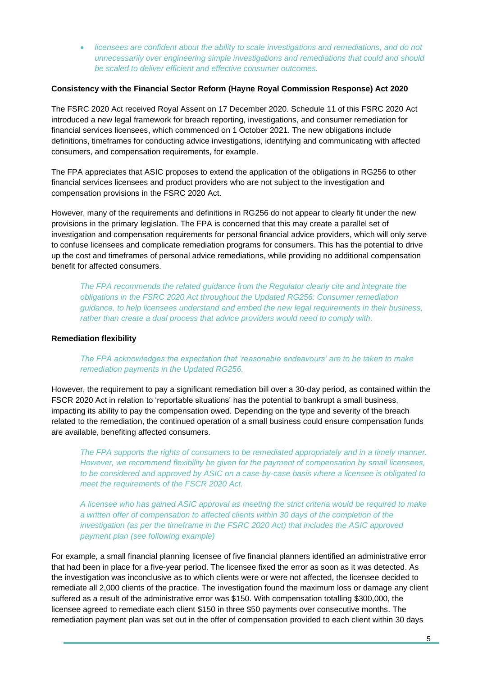• *licensees are confident about the ability to scale investigations and remediations, and do not unnecessarily over engineering simple investigations and remediations that could and should be scaled to deliver efficient and effective consumer outcomes.*

#### **Consistency with the Financial Sector Reform (Hayne Royal Commission Response) Act 2020**

The FSRC 2020 Act received Royal Assent on 17 December 2020. Schedule 11 of this FSRC 2020 Act introduced a new legal framework for breach reporting, investigations, and consumer remediation for financial services licensees, which commenced on 1 October 2021. The new obligations include definitions, timeframes for conducting advice investigations, identifying and communicating with affected consumers, and compensation requirements, for example.

The FPA appreciates that ASIC proposes to extend the application of the obligations in RG256 to other financial services licensees and product providers who are not subject to the investigation and compensation provisions in the FSRC 2020 Act.

However, many of the requirements and definitions in RG256 do not appear to clearly fit under the new provisions in the primary legislation. The FPA is concerned that this may create a parallel set of investigation and compensation requirements for personal financial advice providers, which will only serve to confuse licensees and complicate remediation programs for consumers. This has the potential to drive up the cost and timeframes of personal advice remediations, while providing no additional compensation benefit for affected consumers.

*The FPA recommends the related guidance from the Regulator clearly cite and integrate the obligations in the FSRC 2020 Act throughout the Updated RG256: Consumer remediation guidance, to help licensees understand and embed the new legal requirements in their business, rather than create a dual process that advice providers would need to comply with.*

#### **Remediation flexibility**

*The FPA acknowledges the expectation that 'reasonable endeavours' are to be taken to make remediation payments in the Updated RG256.* 

However, the requirement to pay a significant remediation bill over a 30-day period, as contained within the FSCR 2020 Act in relation to 'reportable situations' has the potential to bankrupt a small business, impacting its ability to pay the compensation owed. Depending on the type and severity of the breach related to the remediation, the continued operation of a small business could ensure compensation funds are available, benefiting affected consumers.

*The FPA supports the rights of consumers to be remediated appropriately and in a timely manner. However, we recommend flexibility be given for the payment of compensation by small licensees, to be considered and approved by ASIC on a case-by-case basis where a licensee is obligated to meet the requirements of the FSCR 2020 Act.* 

*A licensee who has gained ASIC approval as meeting the strict criteria would be required to make a written offer of compensation to affected clients within 30 days of the completion of the investigation (as per the timeframe in the FSRC 2020 Act) that includes the ASIC approved payment plan (see following example)*

For example, a small financial planning licensee of five financial planners identified an administrative error that had been in place for a five-year period. The licensee fixed the error as soon as it was detected. As the investigation was inconclusive as to which clients were or were not affected, the licensee decided to remediate all 2,000 clients of the practice. The investigation found the maximum loss or damage any client suffered as a result of the administrative error was \$150. With compensation totalling \$300,000, the licensee agreed to remediate each client \$150 in three \$50 payments over consecutive months. The remediation payment plan was set out in the offer of compensation provided to each client within 30 days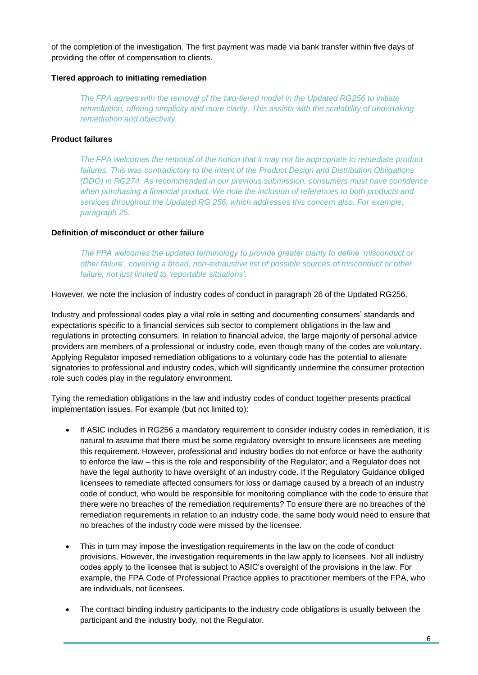of the completion of the investigation. The first payment was made via bank transfer within five days of providing the offer of compensation to clients.

#### **Tiered approach to initiating remediation**

*The FPA agrees with the removal of the two-tiered model in the Updated RG256 to initiate remediation, offering simplicity and more clarity. This assists with the scalability of undertaking remediation and objectivity.* 

#### **Product failures**

*The FPA welcomes the removal of the notion that it may not be appropriate to remediate product failures. This was contradictory to the intent of the Product Design and Distribution Obligations (DDO) in RG274. As recommended in our previous submission, consumers must have confidence when purchasing a financial product. We note the inclusion of references to both products and services throughout the Updated RG 256, which addresses this concern also. For example, paragraph 25.*

#### **Definition of misconduct or other failure**

*The FPA welcomes the updated terminology to provide greater clarity to define 'misconduct or other failure', covering a broad, non-exhaustive list of possible sources of misconduct or other failure, not just limited to 'reportable situations'.* 

However, we note the inclusion of industry codes of conduct in paragraph 26 of the Updated RG256.

Industry and professional codes play a vital role in setting and documenting consumers' standards and expectations specific to a financial services sub sector to complement obligations in the law and regulations in protecting consumers. In relation to financial advice, the large majority of personal advice providers are members of a professional or industry code, even though many of the codes are voluntary. Applying Regulator imposed remediation obligations to a voluntary code has the potential to alienate signatories to professional and industry codes, which will significantly undermine the consumer protection role such codes play in the regulatory environment.

Tying the remediation obligations in the law and industry codes of conduct together presents practical implementation issues. For example (but not limited to):

- If ASIC includes in RG256 a mandatory requirement to consider industry codes in remediation, it is natural to assume that there must be some regulatory oversight to ensure licensees are meeting this requirement. However, professional and industry bodies do not enforce or have the authority to enforce the law – this is the role and responsibility of the Regulator; and a Regulator does not have the legal authority to have oversight of an industry code. If the Regulatory Guidance obliged licensees to remediate affected consumers for loss or damage caused by a breach of an industry code of conduct, who would be responsible for monitoring compliance with the code to ensure that there were no breaches of the remediation requirements? To ensure there are no breaches of the remediation requirements in relation to an industry code, the same body would need to ensure that no breaches of the industry code were missed by the licensee.
- This in turn may impose the investigation requirements in the law on the code of conduct provisions. However, the investigation requirements in the law apply to licensees. Not all industry codes apply to the licensee that is subject to ASIC's oversight of the provisions in the law. For example, the FPA Code of Professional Practice applies to practitioner members of the FPA, who are individuals, not licensees.
- The contract binding industry participants to the industry code obligations is usually between the participant and the industry body, not the Regulator.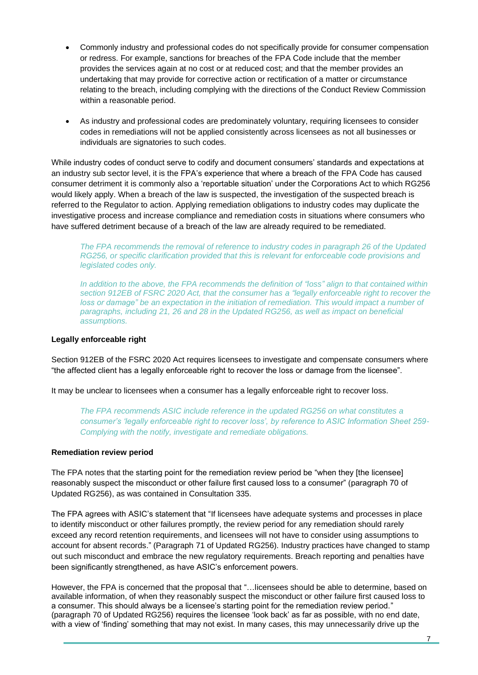- Commonly industry and professional codes do not specifically provide for consumer compensation or redress. For example, sanctions for breaches of the FPA Code include that the member provides the services again at no cost or at reduced cost; and that the member provides an undertaking that may provide for corrective action or rectification of a matter or circumstance relating to the breach, including complying with the directions of the Conduct Review Commission within a reasonable period.
- As industry and professional codes are predominately voluntary, requiring licensees to consider codes in remediations will not be applied consistently across licensees as not all businesses or individuals are signatories to such codes.

While industry codes of conduct serve to codify and document consumers' standards and expectations at an industry sub sector level, it is the FPA's experience that where a breach of the FPA Code has caused consumer detriment it is commonly also a 'reportable situation' under the Corporations Act to which RG256 would likely apply. When a breach of the law is suspected, the investigation of the suspected breach is referred to the Regulator to action. Applying remediation obligations to industry codes may duplicate the investigative process and increase compliance and remediation costs in situations where consumers who have suffered detriment because of a breach of the law are already required to be remediated.

*The FPA recommends the removal of reference to industry codes in paragraph 26 of the Updated RG256, or specific clarification provided that this is relevant for enforceable code provisions and legislated codes only.* 

*In addition to the above, the FPA recommends the definition of "loss" align to that contained within section 912EB of FSRC 2020 Act, that the consumer has a "legally enforceable right to recover the loss or damage" be an expectation in the initiation of remediation. This would impact a number of paragraphs, including 21, 26 and 28 in the Updated RG256, as well as impact on beneficial assumptions.* 

#### **Legally enforceable right**

Section 912EB of the FSRC 2020 Act requires licensees to investigate and compensate consumers where "the affected client has a legally enforceable right to recover the loss or damage from the licensee".

It may be unclear to licensees when a consumer has a legally enforceable right to recover loss.

*The FPA recommends ASIC include reference in the updated RG256 on what constitutes a consumer's 'legally enforceable right to recover loss', by reference to ASIC Information Sheet 259- Complying with the notify, investigate and remediate obligations.* 

#### **Remediation review period**

The FPA notes that the starting point for the remediation review period be "when they [the licensee] reasonably suspect the misconduct or other failure first caused loss to a consumer" (paragraph 70 of Updated RG256), as was contained in Consultation 335.

The FPA agrees with ASIC's statement that "If licensees have adequate systems and processes in place to identify misconduct or other failures promptly, the review period for any remediation should rarely exceed any record retention requirements, and licensees will not have to consider using assumptions to account for absent records." (Paragraph 71 of Updated RG256). Industry practices have changed to stamp out such misconduct and embrace the new regulatory requirements. Breach reporting and penalties have been significantly strengthened, as have ASIC's enforcement powers.

However, the FPA is concerned that the proposal that "…licensees should be able to determine, based on available information, of when they reasonably suspect the misconduct or other failure first caused loss to a consumer. This should always be a licensee's starting point for the remediation review period." (paragraph 70 of Updated RG256) requires the licensee 'look back' as far as possible, with no end date, with a view of 'finding' something that may not exist. In many cases, this may unnecessarily drive up the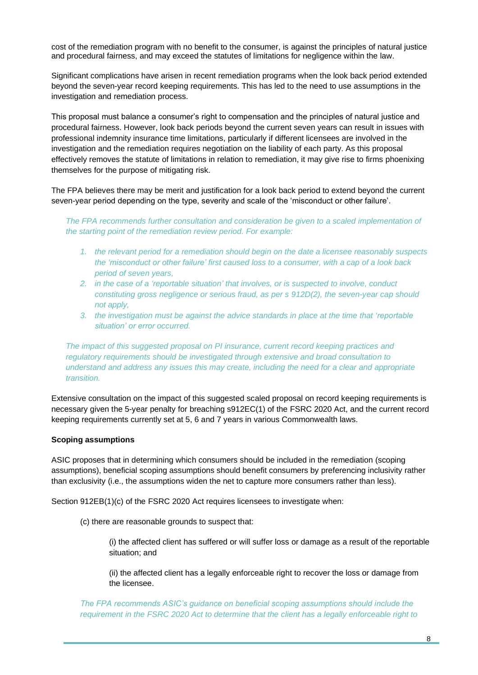cost of the remediation program with no benefit to the consumer, is against the principles of natural justice and procedural fairness, and may exceed the statutes of limitations for negligence within the law.

Significant complications have arisen in recent remediation programs when the look back period extended beyond the seven-year record keeping requirements. This has led to the need to use assumptions in the investigation and remediation process.

This proposal must balance a consumer's right to compensation and the principles of natural justice and procedural fairness. However, look back periods beyond the current seven years can result in issues with professional indemnity insurance time limitations, particularly if different licensees are involved in the investigation and the remediation requires negotiation on the liability of each party. As this proposal effectively removes the statute of limitations in relation to remediation, it may give rise to firms phoenixing themselves for the purpose of mitigating risk.

The FPA believes there may be merit and justification for a look back period to extend beyond the current seven-year period depending on the type, severity and scale of the 'misconduct or other failure'.

*The FPA recommends further consultation and consideration be given to a scaled implementation of the starting point of the remediation review period. For example:*

- *1. the relevant period for a remediation should begin on the date a licensee reasonably suspects the 'misconduct or other failure' first caused loss to a consumer, with a cap of a look back period of seven years,*
- *2. in the case of a 'reportable situation' that involves, or is suspected to involve, conduct constituting gross negligence or serious fraud, as per s 912D(2), the seven-year cap should not apply,*
- *3. the investigation must be against the advice standards in place at the time that 'reportable situation' or error occurred.*

*The impact of this suggested proposal on PI insurance, current record keeping practices and regulatory requirements should be investigated through extensive and broad consultation to understand and address any issues this may create, including the need for a clear and appropriate transition.* 

Extensive consultation on the impact of this suggested scaled proposal on record keeping requirements is necessary given the 5-year penalty for breaching s912EC(1) of the FSRC 2020 Act, and the current record keeping requirements currently set at 5, 6 and 7 years in various Commonwealth laws.

#### **Scoping assumptions**

ASIC proposes that in determining which consumers should be included in the remediation (scoping assumptions), beneficial scoping assumptions should benefit consumers by preferencing inclusivity rather than exclusivity (i.e., the assumptions widen the net to capture more consumers rather than less).

Section 912EB(1)(c) of the FSRC 2020 Act requires licensees to investigate when:

(c) there are reasonable grounds to suspect that:

(i) the affected client has suffered or will suffer loss or damage as a result of the reportable situation; and

(ii) the affected client has a legally enforceable right to recover the loss or damage from the licensee.

*The FPA recommends ASIC's guidance on beneficial scoping assumptions should include the requirement in the FSRC 2020 Act to determine that the client has a legally enforceable right to*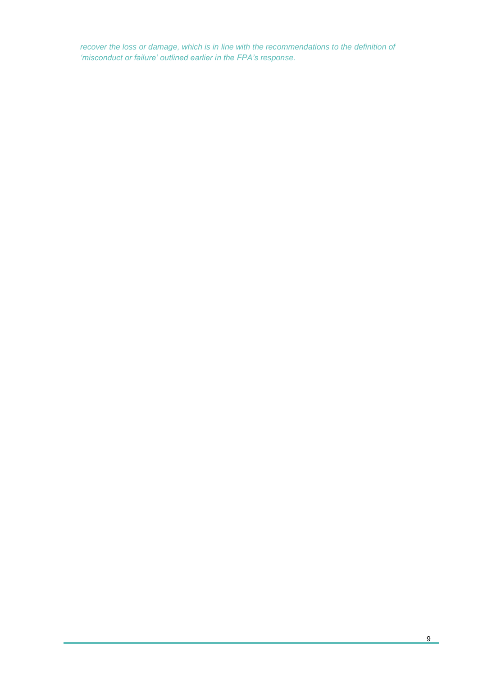*recover the loss or damage, which is in line with the recommendations to the definition of 'misconduct or failure' outlined earlier in the FPA's response.*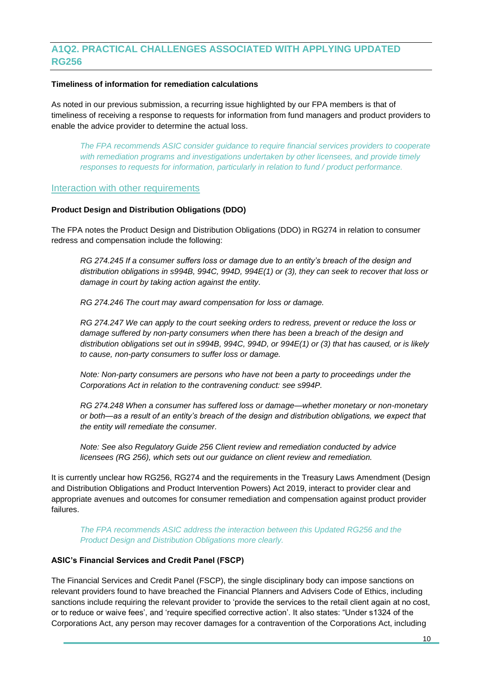# **A1Q2. PRACTICAL CHALLENGES ASSOCIATED WITH APPLYING UPDATED RG256**

#### **Timeliness of information for remediation calculations**

As noted in our previous submission, a recurring issue highlighted by our FPA members is that of timeliness of receiving a response to requests for information from fund managers and product providers to enable the advice provider to determine the actual loss.

*The FPA recommends ASIC consider guidance to require financial services providers to cooperate with remediation programs and investigations undertaken by other licensees, and provide timely responses to requests for information, particularly in relation to fund / product performance.*

#### Interaction with other requirements

#### **Product Design and Distribution Obligations (DDO)**

The FPA notes the Product Design and Distribution Obligations (DDO) in RG274 in relation to consumer redress and compensation include the following:

*RG 274.245 If a consumer suffers loss or damage due to an entity's breach of the design and distribution obligations in s994B, 994C, 994D, 994E(1) or (3), they can seek to recover that loss or damage in court by taking action against the entity.*

*RG 274.246 The court may award compensation for loss or damage.*

*RG 274.247 We can apply to the court seeking orders to redress, prevent or reduce the loss or damage suffered by non-party consumers when there has been a breach of the design and distribution obligations set out in s994B, 994C, 994D, or 994E(1) or (3) that has caused, or is likely to cause, non-party consumers to suffer loss or damage.* 

*Note: Non-party consumers are persons who have not been a party to proceedings under the Corporations Act in relation to the contravening conduct: see s994P.* 

*RG 274.248 When a consumer has suffered loss or damage—whether monetary or non-monetary or both—as a result of an entity's breach of the design and distribution obligations, we expect that the entity will remediate the consumer.* 

*Note: See also Regulatory Guide 256 Client review and remediation conducted by advice licensees (RG 256), which sets out our guidance on client review and remediation.*

It is currently unclear how RG256, RG274 and the requirements in the Treasury Laws Amendment (Design and Distribution Obligations and Product Intervention Powers) Act 2019, interact to provider clear and appropriate avenues and outcomes for consumer remediation and compensation against product provider failures.

*The FPA recommends ASIC address the interaction between this Updated RG256 and the Product Design and Distribution Obligations more clearly.*

#### **ASIC's Financial Services and Credit Panel (FSCP)**

The Financial Services and Credit Panel (FSCP), the single disciplinary body can impose sanctions on relevant providers found to have breached the Financial Planners and Advisers Code of Ethics, including sanctions include requiring the relevant provider to 'provide the services to the retail client again at no cost, or to reduce or waive fees', and 'require specified corrective action'. It also states: "Under s1324 of the Corporations Act, any person may recover damages for a contravention of the Corporations Act, including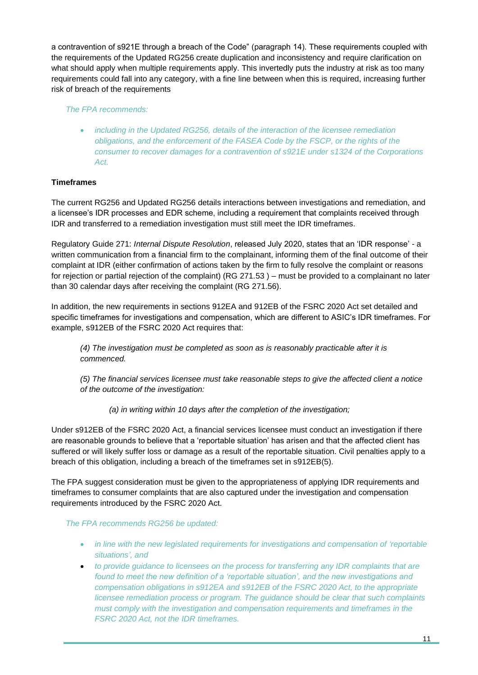a contravention of s921E through a breach of the Code" (paragraph 14). These requirements coupled with the requirements of the Updated RG256 create duplication and inconsistency and require clarification on what should apply when multiple requirements apply. This invertedly puts the industry at risk as too many requirements could fall into any category, with a fine line between when this is required, increasing further risk of breach of the requirements

*The FPA recommends:*

• *including in the Updated RG256, details of the interaction of the licensee remediation obligations, and the enforcement of the FASEA Code by the FSCP, or the rights of the consumer to recover damages for a contravention of s921E under s1324 of the Corporations Act.*

# **Timeframes**

The current RG256 and Updated RG256 details interactions between investigations and remediation, and a licensee's IDR processes and EDR scheme, including a requirement that complaints received through IDR and transferred to a remediation investigation must still meet the IDR timeframes.

Regulatory Guide 271: *Internal Dispute Resolution*, released July 2020, states that an 'IDR response' - a written communication from a financial firm to the complainant, informing them of the final outcome of their complaint at IDR (either confirmation of actions taken by the firm to fully resolve the complaint or reasons for rejection or partial rejection of the complaint) (RG 271.53 ) – must be provided to a complainant no later than 30 calendar days after receiving the complaint (RG 271.56).

In addition, the new requirements in sections 912EA and 912EB of the FSRC 2020 Act set detailed and specific timeframes for investigations and compensation, which are different to ASIC's IDR timeframes. For example, s912EB of the FSRC 2020 Act requires that:

*(4) The investigation must be completed as soon as is reasonably practicable after it is commenced.*

*(5) The financial services licensee must take reasonable steps to give the affected client a notice of the outcome of the investigation:*

*(a) in writing within 10 days after the completion of the investigation;* 

Under s912EB of the FSRC 2020 Act, a financial services licensee must conduct an investigation if there are reasonable grounds to believe that a 'reportable situation' has arisen and that the affected client has suffered or will likely suffer loss or damage as a result of the reportable situation. Civil penalties apply to a breach of this obligation, including a breach of the timeframes set in s912EB(5).

The FPA suggest consideration must be given to the appropriateness of applying IDR requirements and timeframes to consumer complaints that are also captured under the investigation and compensation requirements introduced by the FSRC 2020 Act.

*The FPA recommends RG256 be updated:*

- *in line with the new legislated requirements for investigations and compensation of 'reportable situations', and*
- *to provide guidance to licensees on the process for transferring any IDR complaints that are found to meet the new definition of a 'reportable situation', and the new investigations and compensation obligations in s912EA and s912EB of the FSRC 2020 Act, to the appropriate licensee remediation process or program. The guidance should be clear that such complaints must comply with the investigation and compensation requirements and timeframes in the FSRC 2020 Act, not the IDR timeframes.*